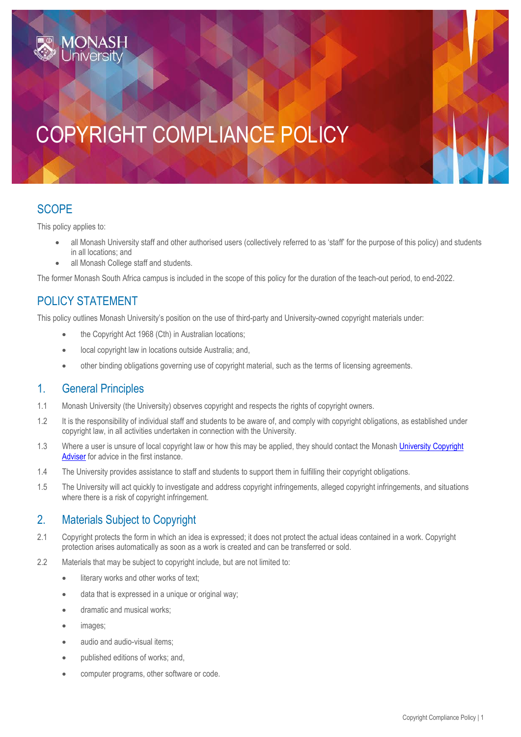# COPYRIGHT COMPLIANCE POLICY

## **SCOPE**

This policy applies to:

- all Monash University staff and other authorised users (collectively referred to as 'staff' for the purpose of this policy) and students in all locations; and
- all Monash College staff and students.

The former Monash South Africa campus is included in the scope of this policy for the duration of the teach-out period, to end-2022.

# POLICY STATEMENT

This policy outlines Monash University's position on the use of third-party and University-owned copyright materials under:

- the Copyright Act 1968 (Cth) in Australian locations;
- local copyright law in locations outside Australia; and,
- other binding obligations governing use of copyright material, such as the terms of licensing agreements.

#### 1. General Principles

- 1.1 Monash University (the University) observes copyright and respects the rights of copyright owners.
- 1.2 It is the responsibility of individual staff and students to be aware of, and comply with copyright obligations, as established under copyright law, in all activities undertaken in connection with the University.
- 1.3 Where a user is unsure of local copyright law or how this may be applied, they should contact the Monash University Copyright [Adviser](mailto:University.Copyright@monash.edu) for advice in the first instance.
- 1.4 The University provides assistance to staff and students to support them in fulfilling their copyright obligations.
- 1.5 The University will act quickly to investigate and address copyright infringements, alleged copyright infringements, and situations where there is a risk of copyright infringement.

### 2. Materials Subject to Copyright

- 2.1 Copyright protects the form in which an idea is expressed; it does not protect the actual ideas contained in a work. Copyright protection arises automatically as soon as a work is created and can be transferred or sold.
- 2.2 Materials that may be subject to copyright include, but are not limited to:
	- **.** literary works and other works of text;
	- data that is expressed in a unique or original way;
	- **•** dramatic and musical works:
	- images;
	- audio and audio-visual items;
	- published editions of works; and,
	- computer programs, other software or code.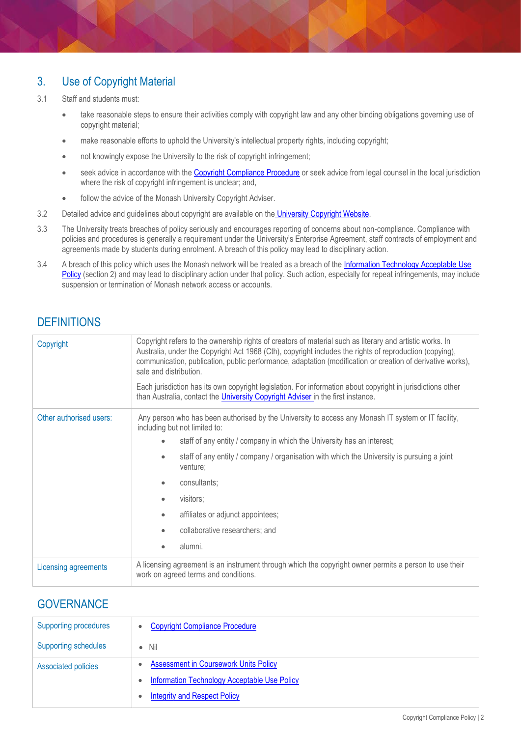### 3. Use of Copyright Material

- 3.1 Staff and students must:
	- take reasonable steps to ensure their activities comply with copyright law and any other binding obligations governing use of copyright material;
	- make reasonable efforts to uphold the University's intellectual property rights, including copyright;
	- not knowingly expose the University to the risk of copyright infringement;
	- seek advice in accordance with th[e Copyright Compliance Procedure](https://www.monash.edu/__data/assets/pdf_file/0008/786572/Copyright-Compliance-Procedure-Australia-Only.pdf) or seek advice from legal counsel in the local jurisdiction where the risk of copyright infringement is unclear; and,
	- follow the advice of the Monash University Copyright Adviser.
- 3.2 Detailed advice and guidelines about copyright are available on the [University Copyright Website.](https://www.intranet.monash/copyright/)
- 3.3 The University treats breaches of policy seriously and encourages reporting of concerns about non-compliance. Compliance with policies and procedures is generally a requirement under the University's Enterprise Agreement, staff contracts of employment and agreements made by students during enrolment. A breach of this policy may lead to disciplinary action.
- 3.4 A breach of this policy which uses the Monash network will be treated as a breach of the Information Technology Acceptable Use [Policy](https://www.monash.edu/__data/assets/pdf_file/0009/1092699/Information-Technology-Acceptable-Use-Policy.pdf) (section 2) and may lead to disciplinary action under that policy. Such action, especially for repeat infringements, may include suspension or termination of Monash network access or accounts.

# **DEFINITIONS**

| Copyright               | Copyright refers to the ownership rights of creators of material such as literary and artistic works. In<br>Australia, under the Copyright Act 1968 (Cth), copyright includes the rights of reproduction (copying),<br>communication, publication, public performance, adaptation (modification or creation of derivative works),<br>sale and distribution.<br>Each jurisdiction has its own copyright legislation. For information about copyright in jurisdictions other<br>than Australia, contact the <i>University Copyright Adviser</i> in the first instance. |
|-------------------------|----------------------------------------------------------------------------------------------------------------------------------------------------------------------------------------------------------------------------------------------------------------------------------------------------------------------------------------------------------------------------------------------------------------------------------------------------------------------------------------------------------------------------------------------------------------------|
| Other authorised users: | Any person who has been authorised by the University to access any Monash IT system or IT facility,<br>including but not limited to:                                                                                                                                                                                                                                                                                                                                                                                                                                 |
|                         | staff of any entity / company in which the University has an interest;                                                                                                                                                                                                                                                                                                                                                                                                                                                                                               |
|                         | staff of any entity / company / organisation with which the University is pursuing a joint<br>venture;                                                                                                                                                                                                                                                                                                                                                                                                                                                               |
|                         | consultants:                                                                                                                                                                                                                                                                                                                                                                                                                                                                                                                                                         |
|                         | visitors;                                                                                                                                                                                                                                                                                                                                                                                                                                                                                                                                                            |
|                         | affiliates or adjunct appointees;                                                                                                                                                                                                                                                                                                                                                                                                                                                                                                                                    |
|                         | collaborative researchers; and                                                                                                                                                                                                                                                                                                                                                                                                                                                                                                                                       |
|                         | alumni.                                                                                                                                                                                                                                                                                                                                                                                                                                                                                                                                                              |
| Licensing agreements    | A licensing agreement is an instrument through which the copyright owner permits a person to use their<br>work on agreed terms and conditions.                                                                                                                                                                                                                                                                                                                                                                                                                       |

#### **GOVERNANCE**

| <b>Supporting procedures</b> | <b>Copyright Compliance Procedure</b><br>$\bullet$        |
|------------------------------|-----------------------------------------------------------|
| <b>Supporting schedules</b>  | $\bullet$ Nil                                             |
| <b>Associated policies</b>   | <b>Assessment in Coursework Units Policy</b><br>$\bullet$ |
|                              | <b>Information Technology Acceptable Use Policy</b>       |
|                              | <b>Integrity and Respect Policy</b>                       |